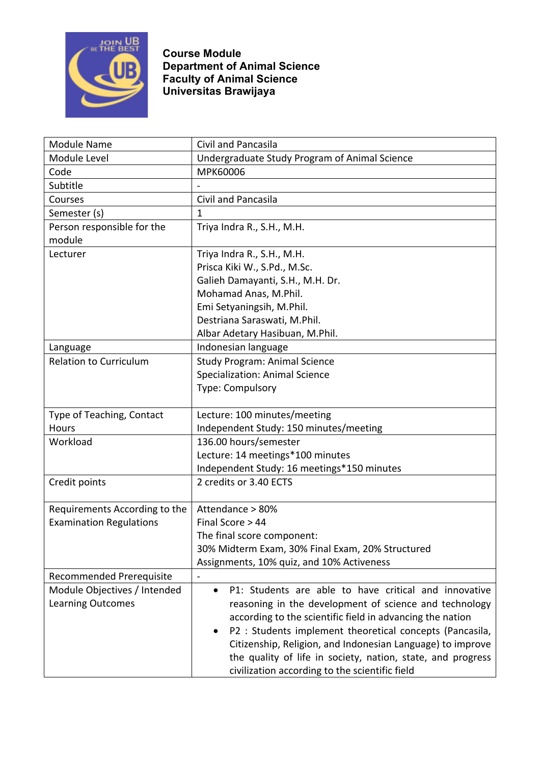

**Course Module Department of Animal Science Faculty of Animal Science Universitas Brawijaya**

| <b>Module Name</b>             | Civil and Pancasila                                                |
|--------------------------------|--------------------------------------------------------------------|
| Module Level                   | Undergraduate Study Program of Animal Science                      |
| Code                           | MPK60006                                                           |
| Subtitle                       |                                                                    |
| Courses                        | Civil and Pancasila                                                |
| Semester (s)                   | 1                                                                  |
| Person responsible for the     | Triya Indra R., S.H., M.H.                                         |
| module                         |                                                                    |
| Lecturer                       | Triya Indra R., S.H., M.H.                                         |
|                                | Prisca Kiki W., S.Pd., M.Sc.                                       |
|                                | Galieh Damayanti, S.H., M.H. Dr.                                   |
|                                | Mohamad Anas, M.Phil.                                              |
|                                | Emi Setyaningsih, M.Phil.                                          |
|                                | Destriana Saraswati, M.Phil.                                       |
|                                | Albar Adetary Hasibuan, M.Phil.                                    |
| Language                       | Indonesian language                                                |
| <b>Relation to Curriculum</b>  | <b>Study Program: Animal Science</b>                               |
|                                | <b>Specialization: Animal Science</b>                              |
|                                | Type: Compulsory                                                   |
|                                |                                                                    |
| Type of Teaching, Contact      | Lecture: 100 minutes/meeting                                       |
| Hours                          | Independent Study: 150 minutes/meeting                             |
| Workload                       | 136.00 hours/semester                                              |
|                                | Lecture: 14 meetings*100 minutes                                   |
|                                | Independent Study: 16 meetings*150 minutes                         |
| Credit points                  | 2 credits or 3.40 ECTS                                             |
|                                |                                                                    |
| Requirements According to the  | Attendance > 80%                                                   |
| <b>Examination Regulations</b> | Final Score > 44                                                   |
|                                | The final score component:                                         |
|                                | 30% Midterm Exam, 30% Final Exam, 20% Structured                   |
|                                | Assignments, 10% quiz, and 10% Activeness                          |
| Recommended Prerequisite       | $\overline{\phantom{a}}$                                           |
| Module Objectives / Intended   | P1: Students are able to have critical and innovative<br>$\bullet$ |
| <b>Learning Outcomes</b>       | reasoning in the development of science and technology             |
|                                | according to the scientific field in advancing the nation          |
|                                | P2 : Students implement theoretical concepts (Pancasila,           |
|                                | Citizenship, Religion, and Indonesian Language) to improve         |
|                                | the quality of life in society, nation, state, and progress        |
|                                | civilization according to the scientific field                     |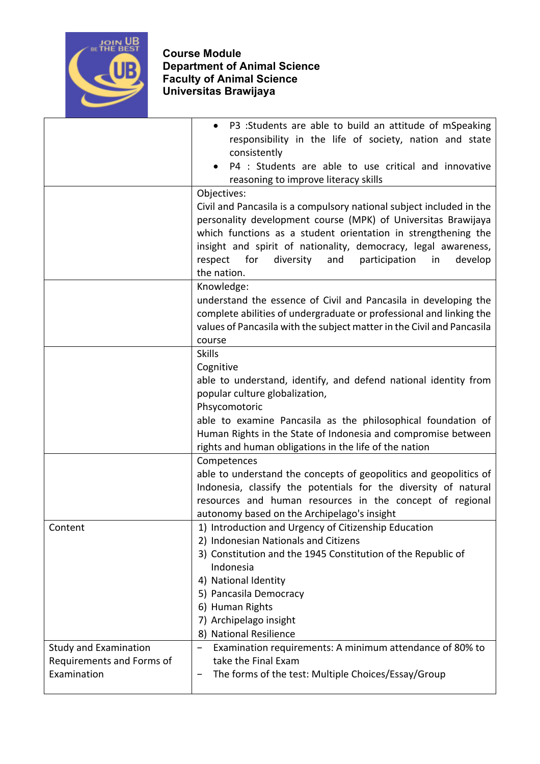

|                              | P3 :Students are able to build an attitude of mSpeaking<br>responsibility in the life of society, nation and state                     |
|------------------------------|----------------------------------------------------------------------------------------------------------------------------------------|
|                              | consistently                                                                                                                           |
|                              | P4 : Students are able to use critical and innovative                                                                                  |
|                              | reasoning to improve literacy skills                                                                                                   |
|                              | Objectives:                                                                                                                            |
|                              | Civil and Pancasila is a compulsory national subject included in the                                                                   |
|                              | personality development course (MPK) of Universitas Brawijaya                                                                          |
|                              | which functions as a student orientation in strengthening the                                                                          |
|                              | insight and spirit of nationality, democracy, legal awareness,<br>respect<br>for<br>diversity<br>and<br>participation<br>in<br>develop |
|                              | the nation.                                                                                                                            |
|                              | Knowledge:                                                                                                                             |
|                              | understand the essence of Civil and Pancasila in developing the                                                                        |
|                              | complete abilities of undergraduate or professional and linking the                                                                    |
|                              | values of Pancasila with the subject matter in the Civil and Pancasila                                                                 |
|                              | course                                                                                                                                 |
|                              | <b>Skills</b>                                                                                                                          |
|                              | Cognitive                                                                                                                              |
|                              | able to understand, identify, and defend national identity from                                                                        |
|                              | popular culture globalization,                                                                                                         |
|                              | Phsycomotoric                                                                                                                          |
|                              | able to examine Pancasila as the philosophical foundation of<br>Human Rights in the State of Indonesia and compromise between          |
|                              | rights and human obligations in the life of the nation                                                                                 |
|                              | Competences                                                                                                                            |
|                              | able to understand the concepts of geopolitics and geopolitics of                                                                      |
|                              | Indonesia, classify the potentials for the diversity of natural                                                                        |
|                              | resources and human resources in the concept of regional                                                                               |
|                              | autonomy based on the Archipelago's insight                                                                                            |
| Content                      | 1) Introduction and Urgency of Citizenship Education                                                                                   |
|                              | 2) Indonesian Nationals and Citizens                                                                                                   |
|                              | 3) Constitution and the 1945 Constitution of the Republic of<br>Indonesia                                                              |
|                              | 4) National Identity                                                                                                                   |
|                              | 5) Pancasila Democracy                                                                                                                 |
|                              | 6) Human Rights                                                                                                                        |
|                              | 7) Archipelago insight                                                                                                                 |
|                              | 8) National Resilience                                                                                                                 |
| <b>Study and Examination</b> | Examination requirements: A minimum attendance of 80% to                                                                               |
| Requirements and Forms of    | take the Final Exam                                                                                                                    |
| Examination                  | The forms of the test: Multiple Choices/Essay/Group                                                                                    |
|                              |                                                                                                                                        |